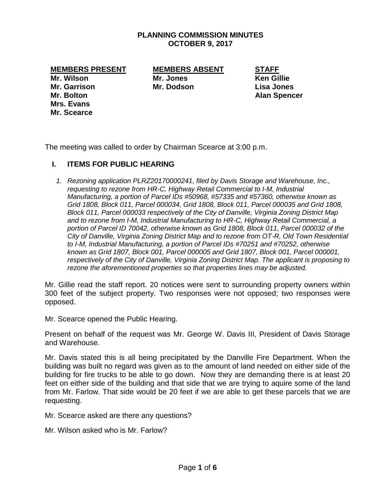## **PLANNING COMMISSION MINUTES OCTOBER 9, 2017**

**MEMBERS PRESENT MEMBERS ABSENT STAFF**

**Mr. Garrison Mr. Dodson Lisa Jones Mr. Bolton Alan Spencer Mrs. Evans Mr. Scearce**

**Mr. Wilson Mr. Jones Ken Gillie**

The meeting was called to order by Chairman Scearce at 3:00 p.m.

## **I. ITEMS FOR PUBLIC HEARING**

*1. Rezoning application PLRZ20170000241, filed by Davis Storage and Warehouse, Inc., requesting to rezone from HR-C, Highway Retail Commercial to I-M, Industrial Manufacturing, a portion of Parcel IDs #50968, #57335 and #57360, otherwise known as Grid 1808, Block 011, Parcel 000034, Grid 1808, Block 011, Parcel 000035 and Grid 1808, Block 011, Parcel 000033 respectively of the City of Danville, Virginia Zoning District Map and to rezone from I-M, Industrial Manufacturing to HR-C, Highway Retail Commercial, a portion of Parcel ID 70042, otherwise known as Grid 1808, Block 011, Parcel 000032 of the City of Danville, Virginia Zoning District Map and to rezone from OT-R, Old Town Residential to I-M, Industrial Manufacturing, a portion of Parcel IDs #70251 and #70252, otherwise known as Grid 1807, Block 001, Parcel 000005 and Grid 1807, Block 001, Parcel 000001, respectively of the City of Danville, Virginia Zoning District Map. The applicant is proposing to rezone the aforementioned properties so that properties lines may be adjusted.* 

Mr. Gillie read the staff report. 20 notices were sent to surrounding property owners within 300 feet of the subject property. Two responses were not opposed; two responses were opposed.

Mr. Scearce opened the Public Hearing.

Present on behalf of the request was Mr. George W. Davis III, President of Davis Storage and Warehouse.

Mr. Davis stated this is all being precipitated by the Danville Fire Department. When the building was built no regard was given as to the amount of land needed on either side of the building for fire trucks to be able to go down. Now they are demanding there is at least 20 feet on either side of the building and that side that we are trying to aquire some of the land from Mr. Farlow. That side would be 20 feet if we are able to get these parcels that we are requesting.

Mr. Scearce asked are there any questions?

Mr. Wilson asked who is Mr. Farlow?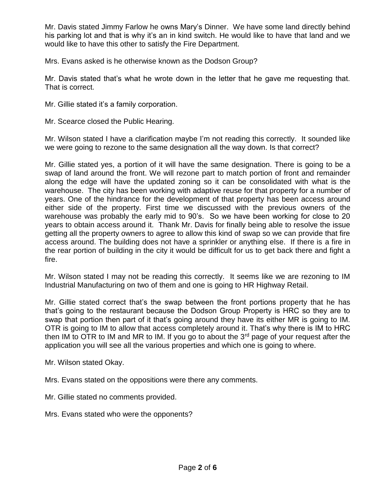Mr. Davis stated Jimmy Farlow he owns Mary's Dinner. We have some land directly behind his parking lot and that is why it's an in kind switch. He would like to have that land and we would like to have this other to satisfy the Fire Department.

Mrs. Evans asked is he otherwise known as the Dodson Group?

Mr. Davis stated that's what he wrote down in the letter that he gave me requesting that. That is correct.

Mr. Gillie stated it's a family corporation.

Mr. Scearce closed the Public Hearing.

Mr. Wilson stated I have a clarification maybe I'm not reading this correctly. It sounded like we were going to rezone to the same designation all the way down. Is that correct?

Mr. Gillie stated yes, a portion of it will have the same designation. There is going to be a swap of land around the front. We will rezone part to match portion of front and remainder along the edge will have the updated zoning so it can be consolidated with what is the warehouse. The city has been working with adaptive reuse for that property for a number of years. One of the hindrance for the development of that property has been access around either side of the property. First time we discussed with the previous owners of the warehouse was probably the early mid to 90's. So we have been working for close to 20 years to obtain access around it. Thank Mr. Davis for finally being able to resolve the issue getting all the property owners to agree to allow this kind of swap so we can provide that fire access around. The building does not have a sprinkler or anything else. If there is a fire in the rear portion of building in the city it would be difficult for us to get back there and fight a fire.

Mr. Wilson stated I may not be reading this correctly. It seems like we are rezoning to IM Industrial Manufacturing on two of them and one is going to HR Highway Retail.

Mr. Gillie stated correct that's the swap between the front portions property that he has that's going to the restaurant because the Dodson Group Property is HRC so they are to swap that portion then part of it that's going around they have its either MR is going to IM. OTR is going to IM to allow that access completely around it. That's why there is IM to HRC then IM to OTR to IM and MR to IM. If you go to about the  $3<sup>rd</sup>$  page of your request after the application you will see all the various properties and which one is going to where.

Mr. Wilson stated Okay.

Mrs. Evans stated on the oppositions were there any comments.

Mr. Gillie stated no comments provided.

Mrs. Evans stated who were the opponents?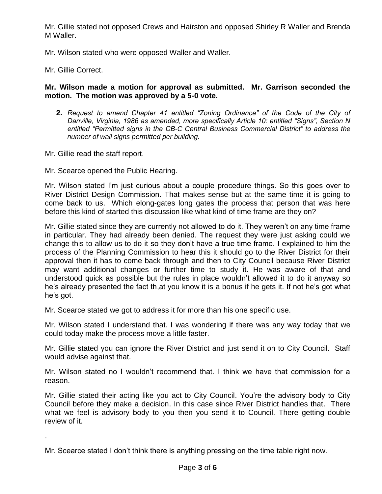Mr. Gillie stated not opposed Crews and Hairston and opposed Shirley R Waller and Brenda M Waller.

Mr. Wilson stated who were opposed Waller and Waller.

Mr. Gillie Correct.

.

## **Mr. Wilson made a motion for approval as submitted. Mr. Garrison seconded the motion. The motion was approved by a 5-0 vote.**

- **2.** *Request to amend Chapter 41 entitled "Zoning Ordinance" of the Code of the City of Danville, Virginia, 1986 as amended, more specifically Article 10: entitled "Signs", Section N entitled "Permitted signs in the CB-C Central Business Commercial District" to address the number of wall signs permitted per building.*
- Mr. Gillie read the staff report.

Mr. Scearce opened the Public Hearing.

Mr. Wilson stated I'm just curious about a couple procedure things. So this goes over to River District Design Commission. That makes sense but at the same time it is going to come back to us. Which elong-gates long gates the process that person that was here before this kind of started this discussion like what kind of time frame are they on?

Mr. Gillie stated since they are currently not allowed to do it. They weren't on any time frame in particular. They had already been denied. The request they were just asking could we change this to allow us to do it so they don't have a true time frame. I explained to him the process of the Planning Commission to hear this it should go to the River District for their approval then it has to come back through and then to City Council because River District may want additional changes or further time to study it. He was aware of that and understood quick as possible but the rules in place wouldn't allowed it to do it anyway so he's already presented the fact th,at you know it is a bonus if he gets it. If not he's got what he's got.

Mr. Scearce stated we got to address it for more than his one specific use.

Mr. Wilson stated I understand that. I was wondering if there was any way today that we could today make the process move a little faster.

Mr. Gillie stated you can ignore the River District and just send it on to City Council. Staff would advise against that.

Mr. Wilson stated no I wouldn't recommend that. I think we have that commission for a reason.

Mr. Gillie stated their acting like you act to City Council. You're the advisory body to City Council before they make a decision. In this case since River District handles that. There what we feel is advisory body to you then you send it to Council. There getting double review of it.

Mr. Scearce stated I don't think there is anything pressing on the time table right now.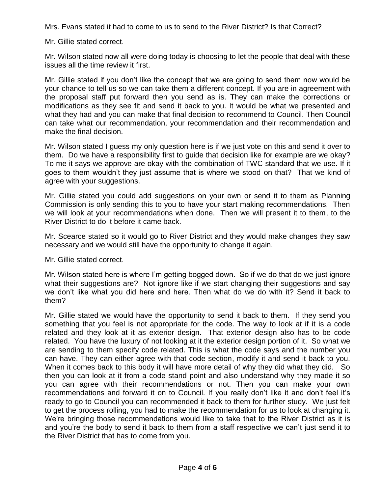Mrs. Evans stated it had to come to us to send to the River District? Is that Correct?

Mr. Gillie stated correct.

Mr. Wilson stated now all were doing today is choosing to let the people that deal with these issues all the time review it first.

Mr. Gillie stated if you don't like the concept that we are going to send them now would be your chance to tell us so we can take them a different concept. If you are in agreement with the proposal staff put forward then you send as is. They can make the corrections or modifications as they see fit and send it back to you. It would be what we presented and what they had and you can make that final decision to recommend to Council. Then Council can take what our recommendation, your recommendation and their recommendation and make the final decision.

Mr. Wilson stated I guess my only question here is if we just vote on this and send it over to them. Do we have a responsibility first to guide that decision like for example are we okay? To me it says we approve are okay with the combination of TWC standard that we use. If it goes to them wouldn't they just assume that is where we stood on that? That we kind of agree with your suggestions.

Mr. Gillie stated you could add suggestions on your own or send it to them as Planning Commission is only sending this to you to have your start making recommendations. Then we will look at your recommendations when done. Then we will present it to them, to the River District to do it before it came back.

Mr. Scearce stated so it would go to River District and they would make changes they saw necessary and we would still have the opportunity to change it again.

Mr. Gillie stated correct.

Mr. Wilson stated here is where I'm getting bogged down. So if we do that do we just ignore what their suggestions are? Not ignore like if we start changing their suggestions and say we don't like what you did here and here. Then what do we do with it? Send it back to them?

Mr. Gillie stated we would have the opportunity to send it back to them. If they send you something that you feel is not appropriate for the code. The way to look at if it is a code related and they look at it as exterior design. That exterior design also has to be code related. You have the luxury of not looking at it the exterior design portion of it. So what we are sending to them specify code related. This is what the code says and the number you can have. They can either agree with that code section, modify it and send it back to you. When it comes back to this body it will have more detail of why they did what they did. So then you can look at it from a code stand point and also understand why they made it so you can agree with their recommendations or not. Then you can make your own recommendations and forward it on to Council. If you really don't like it and don't feel it's ready to go to Council you can recommended it back to them for further study. We just felt to get the process rolling, you had to make the recommendation for us to look at changing it. We're bringing those recommendations would like to take that to the River District as it is and you're the body to send it back to them from a staff respective we can't just send it to the River District that has to come from you.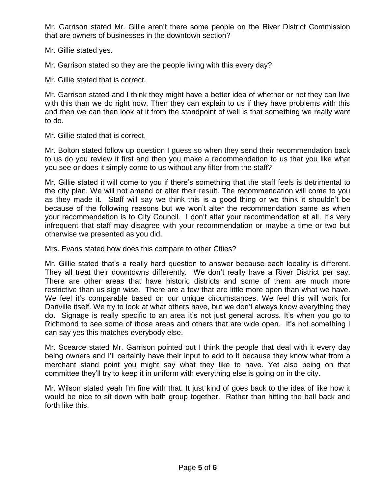Mr. Garrison stated Mr. Gillie aren't there some people on the River District Commission that are owners of businesses in the downtown section?

Mr. Gillie stated yes.

Mr. Garrison stated so they are the people living with this every day?

Mr. Gillie stated that is correct.

Mr. Garrison stated and I think they might have a better idea of whether or not they can live with this than we do right now. Then they can explain to us if they have problems with this and then we can then look at it from the standpoint of well is that something we really want to do.

Mr. Gillie stated that is correct.

Mr. Bolton stated follow up question I guess so when they send their recommendation back to us do you review it first and then you make a recommendation to us that you like what you see or does it simply come to us without any filter from the staff?

Mr. Gillie stated it will come to you if there's something that the staff feels is detrimental to the city plan. We will not amend or alter their result. The recommendation will come to you as they made it. Staff will say we think this is a good thing or we think it shouldn't be because of the following reasons but we won't alter the recommendation same as when your recommendation is to City Council. I don't alter your recommendation at all. It's very infrequent that staff may disagree with your recommendation or maybe a time or two but otherwise we presented as you did.

Mrs. Evans stated how does this compare to other Cities?

Mr. Gillie stated that's a really hard question to answer because each locality is different. They all treat their downtowns differently. We don't really have a River District per say. There are other areas that have historic districts and some of them are much more restrictive than us sign wise. There are a few that are little more open than what we have. We feel it's comparable based on our unique circumstances. We feel this will work for Danville itself. We try to look at what others have, but we don't always know everything they do. Signage is really specific to an area it's not just general across. It's when you go to Richmond to see some of those areas and others that are wide open. It's not something I can say yes this matches everybody else.

Mr. Scearce stated Mr. Garrison pointed out I think the people that deal with it every day being owners and I'll certainly have their input to add to it because they know what from a merchant stand point you might say what they like to have. Yet also being on that committee they'll try to keep it in uniform with everything else is going on in the city.

Mr. Wilson stated yeah I'm fine with that. It just kind of goes back to the idea of like how it would be nice to sit down with both group together. Rather than hitting the ball back and forth like this.